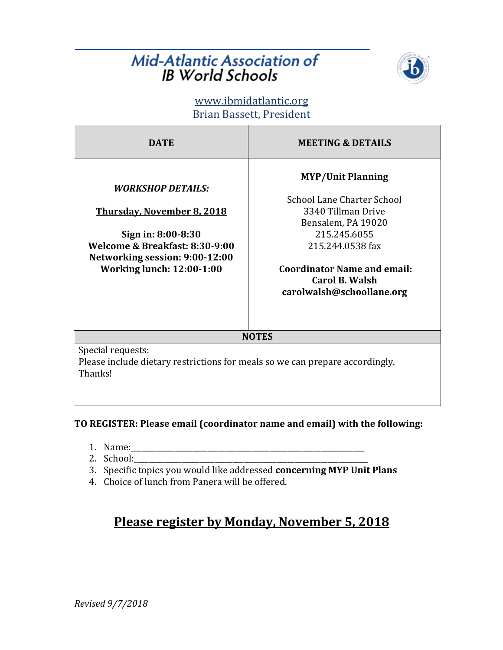## **Mid-Atlantic Association of IB World Schools**



www.ibmidatlantic.org Brian Bassett, President

| <b>DATE</b>                                                                                                                                                                                        | <b>MEETING &amp; DETAILS</b>                                                                                                                                                                   |
|----------------------------------------------------------------------------------------------------------------------------------------------------------------------------------------------------|------------------------------------------------------------------------------------------------------------------------------------------------------------------------------------------------|
| <i><b>WORKSHOP DETAILS:</b></i><br><b>Thursday, November 8, 2018</b><br>Sign in: 8:00-8:30<br>Welcome & Breakfast: 8:30-9:00<br>Networking session: 9:00-12:00<br><b>Working lunch: 12:00-1:00</b> | <b>MYP/Unit Planning</b><br>School Lane Charter School<br>3340 Tillman Drive<br>Bensalem, PA 19020<br>215.245.6055<br>215.244.0538 fax<br><b>Coordinator Name and email:</b><br>Carol B. Walsh |
|                                                                                                                                                                                                    | carolwalsh@schoollane.org                                                                                                                                                                      |
| <b>NOTES</b>                                                                                                                                                                                       |                                                                                                                                                                                                |
| Special requests:<br>Please include dietary restrictions for meals so we can prepare accordingly.<br>Thanks!                                                                                       |                                                                                                                                                                                                |

#### TO REGISTER: Please email (coordinator name and email) with the following:

- 1. Name:\_\_\_\_\_\_\_\_\_\_\_\_\_\_\_\_\_\_\_\_\_\_\_\_\_\_\_\_\_\_\_\_\_\_\_\_\_\_\_\_\_\_\_\_\_\_\_\_\_\_\_\_\_\_\_\_\_\_\_\_\_\_\_\_
- 2. School:\_\_\_\_\_\_\_\_\_\_\_\_\_\_\_\_\_\_\_\_\_\_\_\_\_\_\_\_\_\_\_\_\_\_\_\_\_\_\_\_\_\_\_\_\_\_\_\_\_\_\_\_\_\_\_\_\_\_\_\_\_\_\_\_
- 3. Specific topics you would like addressed **concerning MYP Unit Plans**
- 4. Choice of lunch from Panera will be offered.

## **Please register by Monday, November 5, 2018**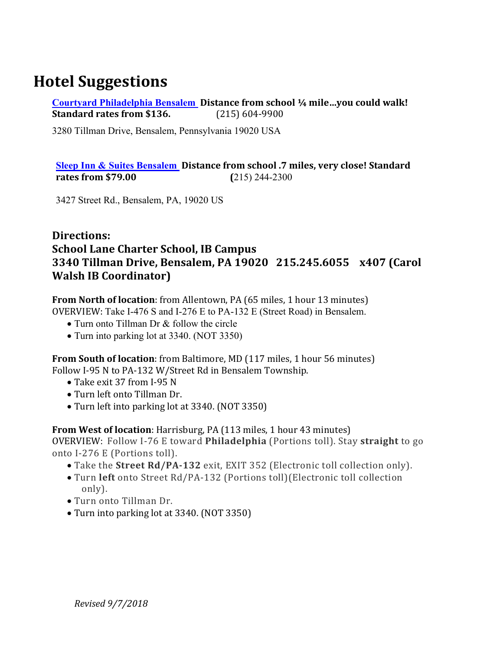## **Hotel Suggestions**

**Courtyard Philadelphia Bensalem** Distance from school 1/4 mile...you could walk! **Standard rates from \$136.** (215) 604-9900

3280 Tillman Drive, Bensalem, Pennsylvania 19020 USA

#### **<u>Sleep Inn & Suites Bensalem</u>** Distance from school .7 miles, very close! Standard **rates from \$79.00 (**215) 244-2300

3427 Street Rd., Bensalem, PA, 19020 US

### **Directions: School Lane Charter School, IB Campus 3340 Tillman Drive, Bensalem, PA 19020 215.245.6055 x407 (Carol Walsh IB Coordinator)**

**From North of location**: from Allentown, PA (65 miles, 1 hour 13 minutes) OVERVIEW: Take I-476 S and I-276 E to PA-132 E (Street Road) in Bensalem.

- Turn onto Tillman Dr & follow the circle
- Turn into parking lot at 3340. (NOT 3350)

**From South of location**: from Baltimore, MD (117 miles, 1 hour 56 minutes) Follow I-95 N to PA-132 W/Street Rd in Bensalem Township.

- Take exit 37 from I-95 N
- Turn left onto Tillman Dr.
- Turn left into parking lot at 3340. (NOT 3350)

**From West of location**: Harrisburg, PA (113 miles, 1 hour 43 minutes) OVERVIEW: Follow I-76 E toward **Philadelphia** (Portions toll). Stay **straight** to go onto I-276 E (Portions toll).

- Take the **Street Rd/PA-132** exit, EXIT 352 (Electronic toll collection only).
- Turn left onto Street Rd/PA-132 (Portions toll)(Electronic toll collection only).
- Turn onto Tillman Dr.
- Turn into parking lot at 3340. (NOT 3350)